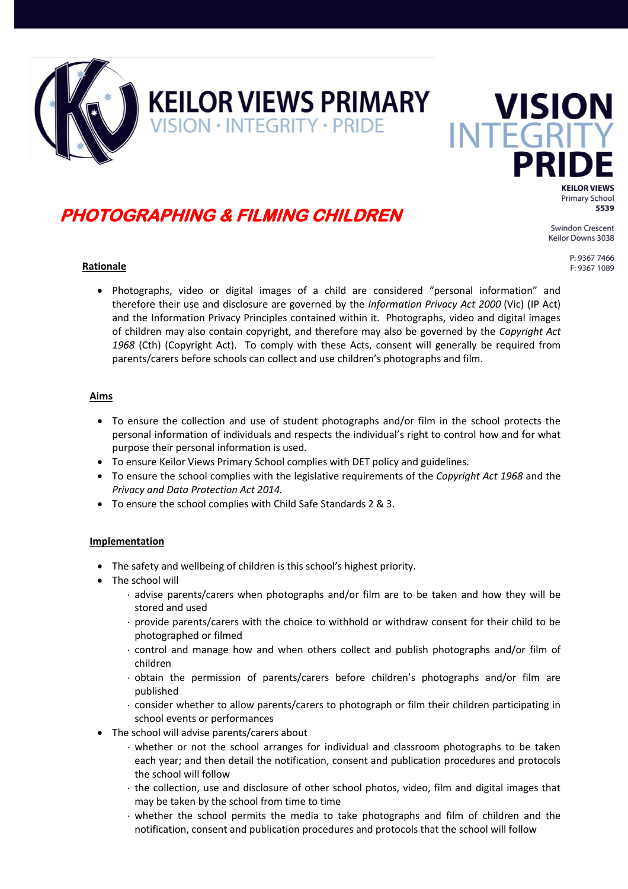

# **PHOTOGRAPHING & FILMING CHILDREN**

**KEILOR VIEWS PRIMARY** 

VISION · INTEGRITY · PRIDE

**Swindon Crescent** Keilor Downs 3038

> P: 9367 7466 F: 9367 1089

**KEILOR VIEWS Primary School** 5539

**VISION** 

**Rationale**

 Photographs, video or digital images of a child are considered "personal information" and therefore their use and disclosure are governed by the *Information Privacy Act 2000* (Vic) (IP Act) and the Information Privacy Principles contained within it. Photographs, video and digital images of children may also contain copyright, and therefore may also be governed by the *Copyright Act 1968* (Cth) (Copyright Act). To comply with these Acts, consent will generally be required from parents/carers before schools can collect and use children's photographs and film.

#### **Aims**

- To ensure the collection and use of student photographs and/or film in the school protects the personal information of individuals and respects the individual's right to control how and for what purpose their personal information is used.
- To ensure Keilor Views Primary School complies with DET policy and guidelines.
- To ensure the school complies with the legislative requirements of the *Copyright Act 1968* and the *Privacy and Data Protection Act 2014.*
- To ensure the school complies with Child Safe Standards 2 & 3.

#### **Implementation**

- The safety and wellbeing of children is this school's highest priority.
- The school will
	- advise parents/carers when photographs and/or film are to be taken and how they will be stored and used
	- provide parents/carers with the choice to withhold or withdraw consent for their child to be photographed or filmed
	- control and manage how and when others collect and publish photographs and/or film of children
	- obtain the permission of parents/carers before children's photographs and/or film are published
	- consider whether to allow parents/carers to photograph or film their children participating in school events or performances
- The school will advise parents/carers about
	- whether or not the school arranges for individual and classroom photographs to be taken each year; and then detail the notification, consent and publication procedures and protocols the school will follow
	- $\cdot$  the collection, use and disclosure of other school photos, video, film and digital images that may be taken by the school from time to time
	- whether the school permits the media to take photographs and film of children and the notification, consent and publication procedures and protocols that the school will follow